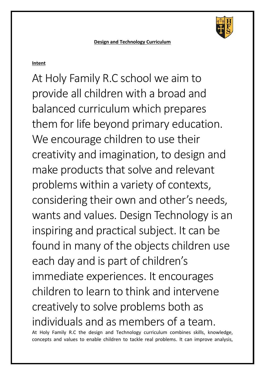

**Design and Technology Curriculum** 

## **Intent**

At Holy Family R.C school we aim to provide all children with a broad and balanced curriculum which prepares them for life beyond primary education. We encourage children to use their creativity and imagination, to design and make products that solve and relevant problems within a variety of contexts, considering their own and other's needs, wants and values. Design Technology is an inspiring and practical subject. It can be found in many of the objects children use each day and is part of children's immediate experiences. It encourages children to learn to think and intervene creatively to solve problems both as individuals and as members of a team.

At Holy Family R.C the design and Technology curriculum combines skills, knowledge, concepts and values to enable children to tackle real problems. It can improve analysis,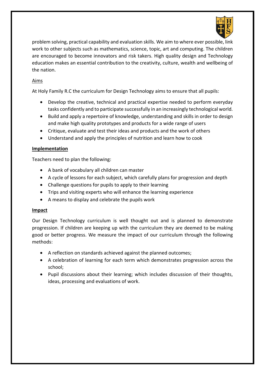

problem solving, practical capability and evaluation skills. We aim to where ever possible, link work to other subjects such as mathematics, science, topic, art and computing. The children are encouraged to become innovators and risk takers. High quality design and Technology education makes an essential contribution to the creativity, culture, wealth and wellbeing of the nation.

## Aims

At Holy Family R.C the curriculum for Design Technology aims to ensure that all pupils:

- Develop the creative, technical and practical expertise needed to perform everyday tasks confidently and to participate successfully in an increasingly technological world.
- Build and apply a repertoire of knowledge, understanding and skills in order to design and make high quality prototypes and products for a wide range of users
- Critique, evaluate and test their ideas and products and the work of others
- Understand and apply the principles of nutrition and learn how to cook

## **Implementation**

Teachers need to plan the following:

- A bank of vocabulary all children can master
- A cycle of lessons for each subject, which carefully plans for progression and depth
- Challenge questions for pupils to apply to their learning
- Trips and visiting experts who will enhance the learning experience
- A means to display and celebrate the pupils work

## **Impact**

Our Design Technology curriculum is well thought out and is planned to demonstrate progression. If children are keeping up with the curriculum they are deemed to be making good or better progress. We measure the impact of our curriculum through the following methods:

- A reflection on standards achieved against the planned outcomes;
- A celebration of learning for each term which demonstrates progression across the school;
- Pupil discussions about their learning; which includes discussion of their thoughts, ideas, processing and evaluations of work.